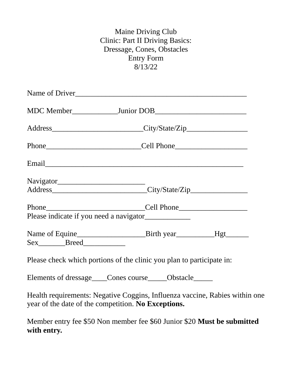## Maine Driving Club Clinic: Part II Driving Basics: Dressage, Cones, Obstacles Entry Form 8/13/22

|                                | Name of Driver                                                                                                                                                                                                                 |  |
|--------------------------------|--------------------------------------------------------------------------------------------------------------------------------------------------------------------------------------------------------------------------------|--|
|                                |                                                                                                                                                                                                                                |  |
|                                | Address____________________________City/State/Zip_______________________________                                                                                                                                               |  |
|                                |                                                                                                                                                                                                                                |  |
|                                | Email experience and the contract of the contract of the contract of the contract of the contract of the contract of the contract of the contract of the contract of the contract of the contract of the contract of the contr |  |
|                                |                                                                                                                                                                                                                                |  |
|                                |                                                                                                                                                                                                                                |  |
|                                | Phone Cell Phone                                                                                                                                                                                                               |  |
|                                |                                                                                                                                                                                                                                |  |
| Sex_________Breed_____________ |                                                                                                                                                                                                                                |  |
|                                | Please check which portions of the clinic you plan to participate in:                                                                                                                                                          |  |
|                                | Elements of dressage___Cones course____Obstacle____                                                                                                                                                                            |  |
|                                | Health requirements: Negative Coggins, Influenza vaccine, Rabies within one<br>year of the date of the competition. No Exceptions.                                                                                             |  |
|                                | Member entry fee \$50 Non member fee \$60 Junior \$20 Must be submitted                                                                                                                                                        |  |

**with entry.**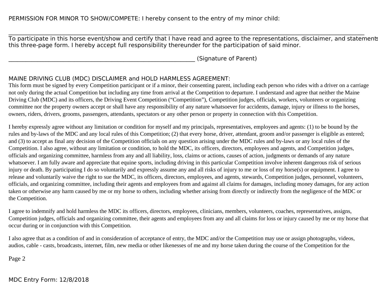$\mathcal{L}_\mathcal{L} = \mathcal{L}_\mathcal{L} = \mathcal{L}_\mathcal{L} = \mathcal{L}_\mathcal{L} = \mathcal{L}_\mathcal{L} = \mathcal{L}_\mathcal{L} = \mathcal{L}_\mathcal{L} = \mathcal{L}_\mathcal{L} = \mathcal{L}_\mathcal{L} = \mathcal{L}_\mathcal{L} = \mathcal{L}_\mathcal{L} = \mathcal{L}_\mathcal{L} = \mathcal{L}_\mathcal{L} = \mathcal{L}_\mathcal{L} = \mathcal{L}_\mathcal{L} = \mathcal{L}_\mathcal{L} = \mathcal{L}_\mathcal{L}$ To participate in this horse event/show and certify that I have read and agree to the representations, disclaimer, and statements this three-page form. I hereby accept full responsibility thereunder for the participation of said minor.

\_\_\_\_\_\_\_\_\_\_\_\_\_\_\_\_\_\_\_\_\_\_\_\_\_\_\_\_\_\_\_\_\_\_\_\_\_\_\_\_\_\_\_\_\_\_\_\_\_\_\_\_\_\_\_\_\_\_\_\_\_\_\_\_\_ (Signature of Parent)

## MAINE DRIVING CLUB (MDC) DISCLAIMER and HOLD HARMLESS AGREEMENT:

This form must be signed by every Competition participant or if a minor, their consenting parent, including each person who rides with a driver on a carriage not only during the actual Competition but including any time from arrival at the Competition to departure. I understand and agree that neither the Maine Driving Club (MDC) and its officers, the Driving Event Competition ("Competition"), Competition judges, officials, workers, volunteers or organizing committee nor the property owners accept or shall have any responsibility of any nature whatsoever for accidents, damage, injury or illness to the horses, owners, riders, drivers, grooms, passengers, attendants, spectators or any other person or property in connection with this Competition.

I hereby expressly agree without any limitation or condition for myself and my principals, representatives, employees and agents: (1) to be bound by the rules and by-laws of the MDC and any local rules of this Competition; (2) that every horse, driver, attendant, groom and/or passenger is eligible as entered; and (3) to accept as final any decision of the Competition officials on any question arising under the MDC rules and by-laws or any local rules of the Competition. I also agree, without any limitation or condition, to hold the MDC, its officers, directors, employees and agents, and Competition judges, officials and organizing committee, harmless from any and all liability, loss, claims or actions, causes of action, judgments or demands of any nature whatsoever. I am fully aware and appreciate that equine sports, including driving in this particular Competition involve inherent dangerous risk of serious injury or death. By participating I do so voluntarily and expressly assume any and all risks of injury to me or loss of my horse(s) or equipment. I agree to release and voluntarily waive the right to sue the MDC, its officers, directors, employees, and agents, stewards, Competition judges, personnel, volunteers, officials, and organizing committee, including their agents and employees from and against all claims for damages, including money damages, for any action taken or otherwise any harm caused by me or my horse to others, including whether arising from directly or indirectly from the negligence of the MDC or the Competition.

I agree to indemnify and hold harmless the MDC its officers, directors, employees, clinicians, members, volunteers, coaches, representatives, assigns, Competition judges, officials and organizing committee, their agents and employees from any and all claims for loss or injury caused by me or my horse that occur during or in conjunction with this Competition.

I also agree that as a condition of and in consideration of acceptance of entry, the MDC and/or the Competition may use or assign photographs, videos, audios, cable - casts, broadcasts, internet, film, new media or other likenesses of me and my horse taken during the course of the Competition for the

Page 2

MDC Entry Form: 12/8/2018